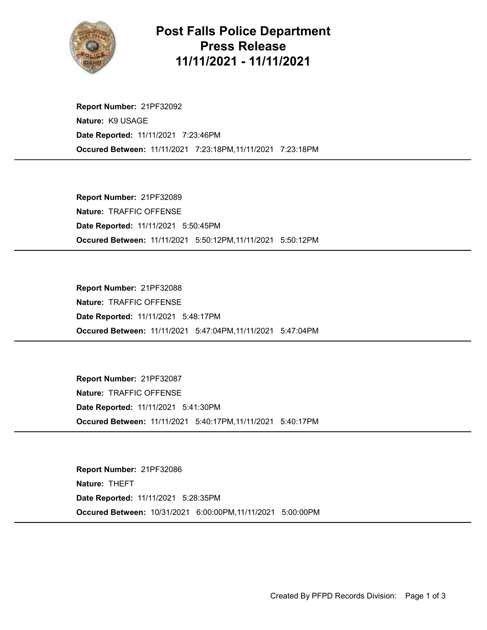

## Post Falls Police Department Press Release 11/11/2021 - 11/11/2021

Occured Between: 11/11/2021 7:23:18PM,11/11/2021 7:23:18PM Report Number: 21PF32092 Nature: K9 USAGE Date Reported: 11/11/2021 7:23:46PM

Occured Between: 11/11/2021 5:50:12PM,11/11/2021 5:50:12PM Report Number: 21PF32089 Nature: TRAFFIC OFFENSE Date Reported: 11/11/2021 5:50:45PM

Occured Between: 11/11/2021 5:47:04PM,11/11/2021 5:47:04PM Report Number: 21PF32088 Nature: TRAFFIC OFFENSE Date Reported: 11/11/2021 5:48:17PM

Occured Between: 11/11/2021 5:40:17PM,11/11/2021 5:40:17PM Report Number: 21PF32087 Nature: TRAFFIC OFFENSE Date Reported: 11/11/2021 5:41:30PM

Occured Between: 10/31/2021 6:00:00PM,11/11/2021 5:00:00PM Report Number: 21PF32086 Nature: THEFT Date Reported: 11/11/2021 5:28:35PM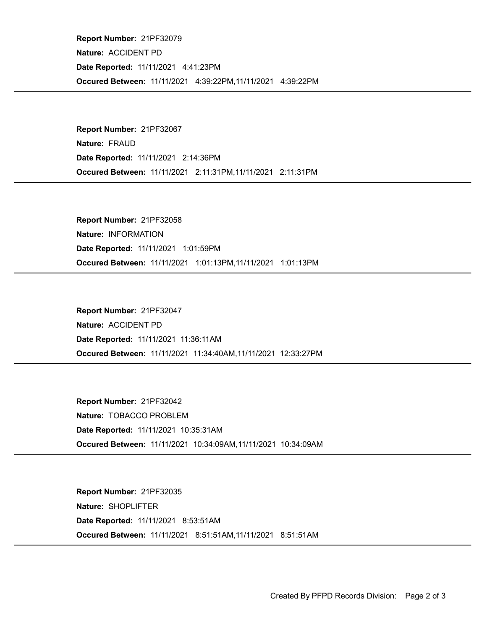Occured Between: 11/11/2021 4:39:22PM,11/11/2021 4:39:22PM Report Number: 21PF32079 Nature: ACCIDENT PD Date Reported: 11/11/2021 4:41:23PM

Occured Between: 11/11/2021 2:11:31PM,11/11/2021 2:11:31PM Report Number: 21PF32067 Nature: FRAUD Date Reported: 11/11/2021 2:14:36PM

Occured Between: 11/11/2021 1:01:13PM,11/11/2021 1:01:13PM Report Number: 21PF32058 Nature: INFORMATION Date Reported: 11/11/2021 1:01:59PM

Occured Between: 11/11/2021 11:34:40AM,11/11/2021 12:33:27PM Report Number: 21PF32047 Nature: ACCIDENT PD Date Reported: 11/11/2021 11:36:11AM

Occured Between: 11/11/2021 10:34:09AM,11/11/2021 10:34:09AM Report Number: 21PF32042 Nature: TOBACCO PROBLEM Date Reported: 11/11/2021 10:35:31AM

Occured Between: 11/11/2021 8:51:51AM,11/11/2021 8:51:51AM Report Number: 21PF32035 Nature: SHOPLIFTER Date Reported: 11/11/2021 8:53:51AM